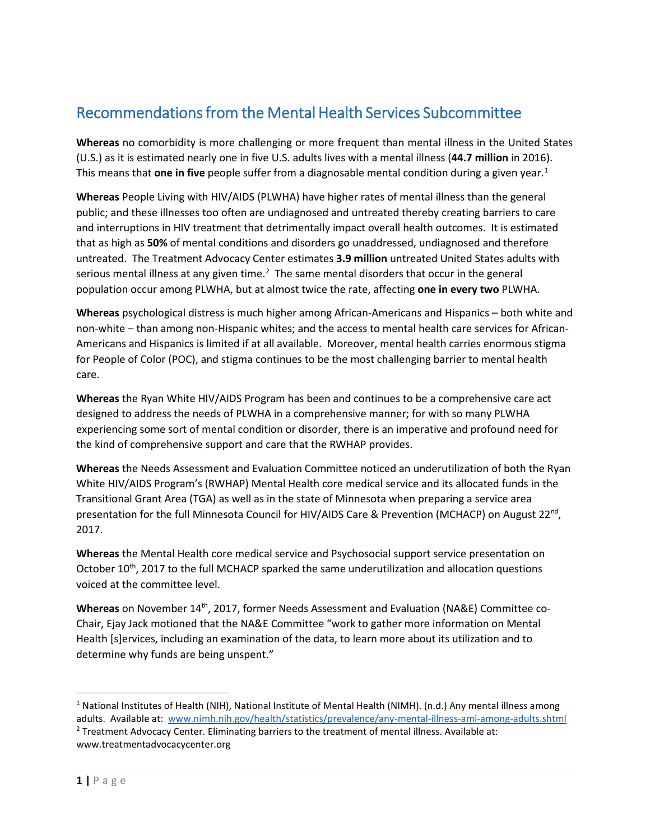# Recommendations from the Mental Health Services Subcommittee

**Whereas** no comorbidity is more challenging or more frequent than mental illness in the United States (U.S.) as it is estimated nearly one in five U.S. adults lives with a mental illness (**44.7 million** in 2016). This means that **one in five** people suffer from a diagnosable mental condition during a given year.<sup>[1](#page-0-0)</sup>

**Whereas** People Living with HIV/AIDS (PLWHA) have higher rates of mental illness than the general public; and these illnesses too often are undiagnosed and untreated thereby creating barriers to care and interruptions in HIV treatment that detrimentally impact overall health outcomes. It is estimated that as high as **50%** of mental conditions and disorders go unaddressed, undiagnosed and therefore untreated. The Treatment Advocacy Center estimates **3.9 million** untreated United States adults with serious mental illness at any given time.<sup>[2](#page-0-1)</sup> The same mental disorders that occur in the general population occur among PLWHA, but at almost twice the rate, affecting **one in every two** PLWHA.

**Whereas** psychological distress is much higher among African-Americans and Hispanics – both white and non-white – than among non-Hispanic whites; and the access to mental health care services for African-Americans and Hispanics is limited if at all available. Moreover, mental health carries enormous stigma for People of Color (POC), and stigma continues to be the most challenging barrier to mental health care.

**Whereas** the Ryan White HIV/AIDS Program has been and continues to be a comprehensive care act designed to address the needs of PLWHA in a comprehensive manner; for with so many PLWHA experiencing some sort of mental condition or disorder, there is an imperative and profound need for the kind of comprehensive support and care that the RWHAP provides.

**Whereas** the Needs Assessment and Evaluation Committee noticed an underutilization of both the Ryan White HIV/AIDS Program's (RWHAP) Mental Health core medical service and its allocated funds in the Transitional Grant Area (TGA) as well as in the state of Minnesota when preparing a service area presentation for the full Minnesota Council for HIV/AIDS Care & Prevention (MCHACP) on August 22<sup>nd</sup>, 2017.

**Whereas** the Mental Health core medical service and Psychosocial support service presentation on October 10<sup>th</sup>, 2017 to the full MCHACP sparked the same underutilization and allocation questions voiced at the committee level.

Whereas on November 14<sup>th</sup>, 2017, former Needs Assessment and Evaluation (NA&E) Committee co-Chair, Ejay Jack motioned that the NA&E Committee "work to gather more information on Mental Health [s]ervices, including an examination of the data, to learn more about its utilization and to determine why funds are being unspent."

<span id="page-0-1"></span><span id="page-0-0"></span> $1$  National Institutes of Health (NIH), National Institute of Mental Health (NIMH). (n.d.) Any mental illness among adults. Available at: [www.nimh.nih.gov/health/statistics/prevalence/any-mental-illness-ami-among-adults.shtml](http://www.nimh.nih.gov/health/statistics/prevalence/any-mental-illness-ami-among-adults.shtml) <sup>2</sup> Treatment Advocacy Center. Eliminating barriers to the treatment of mental illness. Available at: www.treatmentadvocacycenter.org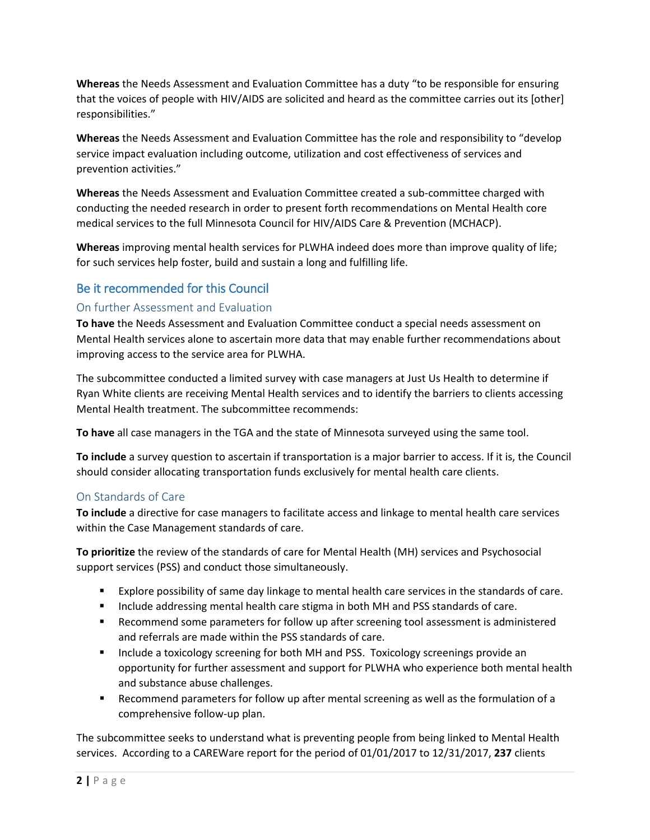**Whereas** the Needs Assessment and Evaluation Committee has a duty "to be responsible for ensuring that the voices of people with HIV/AIDS are solicited and heard as the committee carries out its [other] responsibilities."

**Whereas** the Needs Assessment and Evaluation Committee has the role and responsibility to "develop service impact evaluation including outcome, utilization and cost effectiveness of services and prevention activities."

**Whereas** the Needs Assessment and Evaluation Committee created a sub-committee charged with conducting the needed research in order to present forth recommendations on Mental Health core medical services to the full Minnesota Council for HIV/AIDS Care & Prevention (MCHACP).

**Whereas** improving mental health services for PLWHA indeed does more than improve quality of life; for such services help foster, build and sustain a long and fulfilling life.

# Be it recommended for this Council

## On further Assessment and Evaluation

**To have** the Needs Assessment and Evaluation Committee conduct a special needs assessment on Mental Health services alone to ascertain more data that may enable further recommendations about improving access to the service area for PLWHA.

The subcommittee conducted a limited survey with case managers at Just Us Health to determine if Ryan White clients are receiving Mental Health services and to identify the barriers to clients accessing Mental Health treatment. The subcommittee recommends:

**To have** all case managers in the TGA and the state of Minnesota surveyed using the same tool.

**To include** a survey question to ascertain if transportation is a major barrier to access. If it is, the Council should consider allocating transportation funds exclusively for mental health care clients.

## On Standards of Care

**To include** a directive for case managers to facilitate access and linkage to mental health care services within the Case Management standards of care.

**To prioritize** the review of the standards of care for Mental Health (MH) services and Psychosocial support services (PSS) and conduct those simultaneously.

- Explore possibility of same day linkage to mental health care services in the standards of care.
- **Include addressing mental health care stigma in both MH and PSS standards of care.**
- **EXECOMMENT SOME SOME PARAMETER STATES FOR STATE IS ADMOKED AT A SET ASSESSMENT IS ADMINISTERED FOR STATE IS ADMINISTER STATES** and referrals are made within the PSS standards of care.
- **Include a toxicology screening for both MH and PSS. Toxicology screenings provide an** opportunity for further assessment and support for PLWHA who experience both mental health and substance abuse challenges.
- Recommend parameters for follow up after mental screening as well as the formulation of a comprehensive follow-up plan.

The subcommittee seeks to understand what is preventing people from being linked to Mental Health services. According to a CAREWare report for the period of 01/01/2017 to 12/31/2017, **237** clients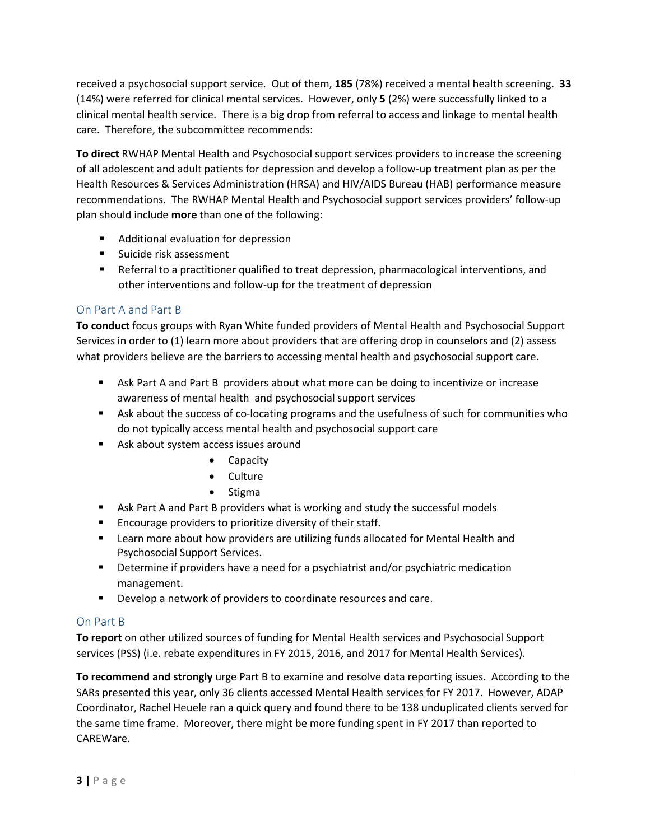received a psychosocial support service. Out of them, **185** (78%) received a mental health screening. **33** (14%) were referred for clinical mental services. However, only **5** (2%) were successfully linked to a clinical mental health service. There is a big drop from referral to access and linkage to mental health care. Therefore, the subcommittee recommends:

**To direct** RWHAP Mental Health and Psychosocial support services providers to increase the screening of all adolescent and adult patients for depression and develop a follow-up treatment plan as per the Health Resources & Services Administration (HRSA) and HIV/AIDS Bureau (HAB) performance measure recommendations. The RWHAP Mental Health and Psychosocial support services providers' follow-up plan should include **more** than one of the following:

- Additional evaluation for depression
- Suicide risk assessment
- Referral to a practitioner qualified to treat depression, pharmacological interventions, and other interventions and follow-up for the treatment of depression

# On Part A and Part B

**To conduct** focus groups with Ryan White funded providers of Mental Health and Psychosocial Support Services in order to (1) learn more about providers that are offering drop in counselors and (2) assess what providers believe are the barriers to accessing mental health and psychosocial support care.

- Ask Part A and Part B providers about what more can be doing to incentivize or increase awareness of mental health and psychosocial support services
- Ask about the success of co-locating programs and the usefulness of such for communities who do not typically access mental health and psychosocial support care
- Ask about system access issues around
	- Capacity
	- Culture
	- Stigma
- Ask Part A and Part B providers what is working and study the successful models
- Encourage providers to prioritize diversity of their staff.
- Learn more about how providers are utilizing funds allocated for Mental Health and Psychosocial Support Services.
- Determine if providers have a need for a psychiatrist and/or psychiatric medication management.
- Develop a network of providers to coordinate resources and care.

## On Part B

**To report** on other utilized sources of funding for Mental Health services and Psychosocial Support services (PSS) (i.e. rebate expenditures in FY 2015, 2016, and 2017 for Mental Health Services).

**To recommend and strongly** urge Part B to examine and resolve data reporting issues. According to the SARs presented this year, only 36 clients accessed Mental Health services for FY 2017. However, ADAP Coordinator, Rachel Heuele ran a quick query and found there to be 138 unduplicated clients served for the same time frame. Moreover, there might be more funding spent in FY 2017 than reported to CAREWare.